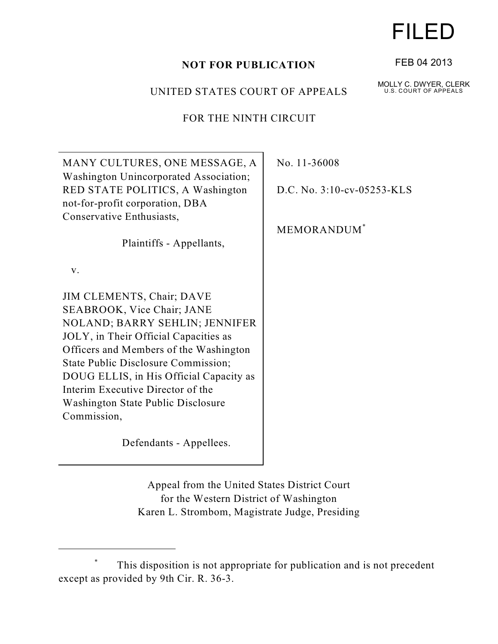#### **NOT FOR PUBLICATION**

#### UNITED STATES COURT OF APPEALS

FOR THE NINTH CIRCUIT

٦

| MANY CULTURES, ONE MESSAGE, A           | No. 11-36008               |
|-----------------------------------------|----------------------------|
| Washington Unincorporated Association;  |                            |
| RED STATE POLITICS, A Washington        | D.C. No. 3:10-cv-05253-KLS |
| not-for-profit corporation, DBA         |                            |
| Conservative Enthusiasts,               |                            |
|                                         | MEMORANDUM <sup>*</sup>    |
| Plaintiffs - Appellants,                |                            |
| V.                                      |                            |
| JIM CLEMENTS, Chair; DAVE               |                            |
| SEABROOK, Vice Chair; JANE              |                            |
| NOLAND; BARRY SEHLIN; JENNIFER          |                            |
| JOLY, in Their Official Capacities as   |                            |
| Officers and Members of the Washington  |                            |
| State Public Disclosure Commission;     |                            |
| DOUG ELLIS, in His Official Capacity as |                            |
| Interim Executive Director of the       |                            |
| Washington State Public Disclosure      |                            |
| Commission,                             |                            |
| Defendants - Appellees.                 |                            |

Appeal from the United States District Court for the Western District of Washington Karen L. Strombom, Magistrate Judge, Presiding

# FILED

FEB 04 2013

MOLLY C. DWYER, CLERK U.S. COURT OF APPEALS

<sup>&</sup>lt;sup>\*</sup> This disposition is not appropriate for publication and is not precedent except as provided by 9th Cir. R. 36-3.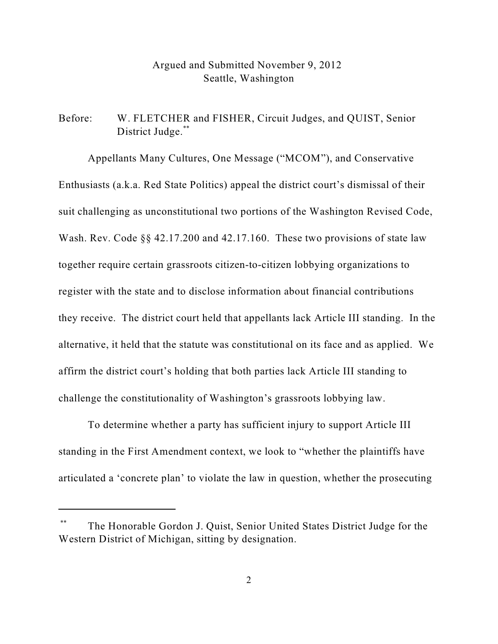## Argued and Submitted November 9, 2012 Seattle, Washington

### Before: W. FLETCHER and FISHER, Circuit Judges, and QUIST, Senior District Judge.\*\*

Appellants Many Cultures, One Message ("MCOM"), and Conservative Enthusiasts (a.k.a. Red State Politics) appeal the district court's dismissal of their suit challenging as unconstitutional two portions of the Washington Revised Code, Wash. Rev. Code §§ 42.17.200 and 42.17.160. These two provisions of state law together require certain grassroots citizen-to-citizen lobbying organizations to register with the state and to disclose information about financial contributions they receive. The district court held that appellants lack Article III standing. In the alternative, it held that the statute was constitutional on its face and as applied. We affirm the district court's holding that both parties lack Article III standing to challenge the constitutionality of Washington's grassroots lobbying law.

To determine whether a party has sufficient injury to support Article III standing in the First Amendment context, we look to "whether the plaintiffs have articulated a 'concrete plan' to violate the law in question, whether the prosecuting

<sup>\*\*</sup> The Honorable Gordon J. Quist, Senior United States District Judge for the Western District of Michigan, sitting by designation.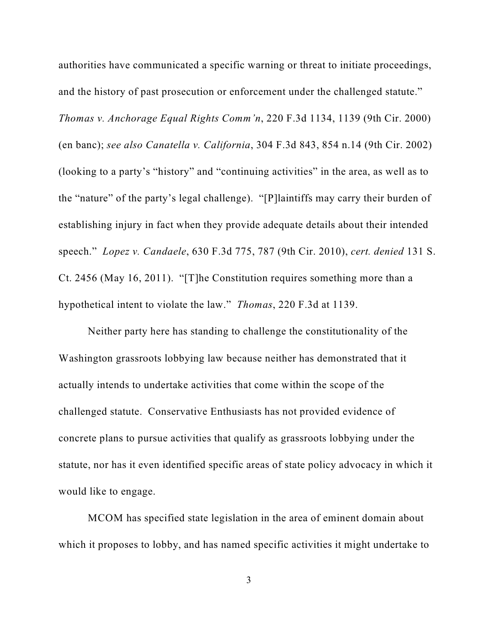authorities have communicated a specific warning or threat to initiate proceedings, and the history of past prosecution or enforcement under the challenged statute." *Thomas v. Anchorage Equal Rights Comm'n*, 220 F.3d 1134, 1139 (9th Cir. 2000) (en banc); *see also Canatella v. California*, 304 F.3d 843, 854 n.14 (9th Cir. 2002) (looking to a party's "history" and "continuing activities" in the area, as well as to the "nature" of the party's legal challenge). "[P]laintiffs may carry their burden of establishing injury in fact when they provide adequate details about their intended speech." *Lopez v. Candaele*, 630 F.3d 775, 787 (9th Cir. 2010), *cert. denied* 131 S. Ct. 2456 (May 16, 2011). "[T]he Constitution requires something more than a hypothetical intent to violate the law." *Thomas*, 220 F.3d at 1139.

Neither party here has standing to challenge the constitutionality of the Washington grassroots lobbying law because neither has demonstrated that it actually intends to undertake activities that come within the scope of the challenged statute. Conservative Enthusiasts has not provided evidence of concrete plans to pursue activities that qualify as grassroots lobbying under the statute, nor has it even identified specific areas of state policy advocacy in which it would like to engage.

MCOM has specified state legislation in the area of eminent domain about which it proposes to lobby, and has named specific activities it might undertake to